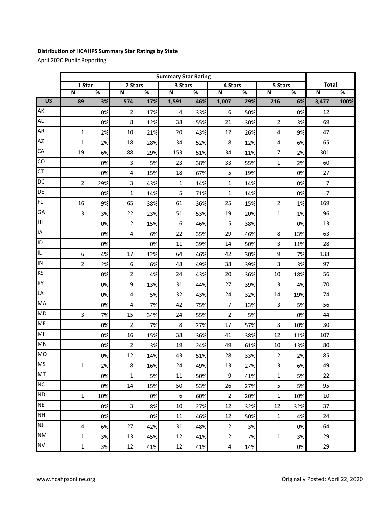## **Distribution of HCAHPS Summary Star Ratings by State**

April 2020 Public Reporting

|                 | <b>Summary Star Rating</b> |                 |                         |                 |                         |                 |                         |                 |                         |                 |                         |      |
|-----------------|----------------------------|-----------------|-------------------------|-----------------|-------------------------|-----------------|-------------------------|-----------------|-------------------------|-----------------|-------------------------|------|
|                 | 1 Star                     |                 | 2 Stars                 |                 | 3 Stars                 |                 | 4 Stars                 |                 | 5 Stars                 |                 | <b>Total</b>            |      |
| $\overline{US}$ | N                          | $\overline{\%}$ | N                       | $\overline{\%}$ | $\overline{\mathsf{N}}$ | $\overline{\%}$ | $\overline{\mathsf{N}}$ | $\overline{\%}$ | $\overline{\mathsf{N}}$ | $\overline{\%}$ | $\overline{\mathsf{N}}$ | %    |
|                 | 89                         | 3%              | 574                     | 17%             | 1,591                   | 46%             | 1,007                   | 29%             | 216                     | 6%              | 3,477                   | 100% |
| AK              |                            | 0%              | 2                       | 17%             | 4                       | 33%             | 6                       | 50%             |                         | 0%              | 12                      |      |
| <b>AL</b>       |                            | 0%              | 8                       | 12%             | 38                      | 55%             | 21                      | 30%             | 2                       | 3%              | 69                      |      |
| AR              | $\mathbf{1}$               | 2%              | 10                      | 21%             | 20                      | 43%             | 12                      | 26%             | 4                       | 9%              | 47                      |      |
| <b>AZ</b>       | $\mathbf{1}$               | 2%              | 18                      | 28%             | 34                      | 52%             | 8                       | 12%             | 4                       | 6%              | 65                      |      |
| CA              | 19                         | 6%              | 88                      | 29%             | 153                     | 51%             | 34                      | 11%             | 7                       | 2%              | 301                     |      |
| CO              |                            | 0%              | 3                       | 5%              | 23                      | 38%             | 33                      | 55%             | $\mathbf{1}$            | 2%              | 60                      |      |
| E               |                            | 0%              | 4                       | 15%             | 18                      | 67%             | 5                       | 19%             |                         | 0%              | 27                      |      |
| <b>DC</b>       | 2                          | 29%             | 3                       | 43%             | 1                       | 14%             | 1                       | 14%             |                         | 0%              | $\overline{7}$          |      |
| DE              |                            | 0%              | 1                       | 14%             | 5                       | 71%             | 1                       | 14%             |                         | 0%              | $\overline{7}$          |      |
| <b>FL</b>       | 16                         | 9%              | 65                      | 38%             | 61                      | 36%             | 25                      | 15%             | 2                       | 1%              | 169                     |      |
| GA              | 3                          | 3%              | 22                      | 23%             | 51                      | 53%             | 19                      | 20%             | $\mathbf{1}$            | 1%              | 96                      |      |
| HI              |                            | 0%              | 2                       | 15%             | $\boldsymbol{6}$        | 46%             | 5                       | 38%             |                         | 0%              | 13                      |      |
| IA              |                            | 0%              | 4                       | 6%              | 22                      | 35%             | 29                      | 46%             | 8                       | 13%             | 63                      |      |
| ID              |                            | 0%              |                         | 0%              | 11                      | 39%             | 14                      | 50%             | 3                       | 11%             | 28                      |      |
| IL.             | 6                          | 4%              | 17                      | 12%             | 64                      | 46%             | 42                      | 30%             | 9                       | 7%              | 138                     |      |
| IN              | 2                          | 2%              | 6                       | 6%              | 48                      | 49%             | 38                      | 39%             | 3                       | 3%              | 97                      |      |
| <b>KS</b>       |                            | 0%              | 2                       | 4%              | 24                      | 43%             | 20                      | 36%             | 10                      | 18%             | 56                      |      |
| KY              |                            | 0%              | 9                       | 13%             | 31                      | 44%             | 27                      | 39%             | 3                       | 4%              | 70                      |      |
| LA              |                            | 0%              | 4                       | 5%              | 32                      | 43%             | 24                      | 32%             | 14                      | 19%             | 74                      |      |
| MA              |                            | 0%              | 4                       | 7%              | 42                      | 75%             | 7                       | 13%             | 3                       | 5%              | 56                      |      |
| <b>MD</b>       | 3                          | 7%              | 15                      | 34%             | 24                      | 55%             | $\overline{2}$          | 5%              |                         | 0%              | 44                      |      |
| <b>ME</b>       |                            | 0%              | $\overline{\mathbf{c}}$ | 7%              | 8                       | 27%             | 17                      | 57%             | 3                       | 10%             | 30                      |      |
| M <sub>l</sub>  |                            | 0%              | 16                      | 15%             | 38                      | 36%             | 41                      | 38%             | 12                      | 11%             | 107                     |      |
| <b>MN</b>       |                            | 0%              | 2                       | 3%              | 19                      | 24%             | 49                      | 61%             | 10                      | 13%             | 80                      |      |
| <b>MO</b>       |                            | 0%              | 12                      | 14%             | 43                      | 51%             | 28                      | 33%             | $\overline{a}$          | 2%              | 85                      |      |
| <b>MS</b>       | $\mathbf{1}$               | 2%              | 8                       | 16%             | 24                      | 49%             | 13                      | 27%             | 3                       | 6%              | 49                      |      |
| MT              |                            | 0%              | 1                       | 5%              | 11                      | 50%             | $\boldsymbol{9}$        | 41%             | 1                       | 5%              | 22                      |      |
| <b>NC</b>       |                            | 0%              | 14                      | 15%             | 50                      | 53%             | 26                      | 27%             | 5                       | 5%              | 95                      |      |
| <b>ND</b>       | $\mathbf{1}$               | 10%             |                         | 0%              | $6\phantom{1}6$         | 60%             | $\overline{2}$          | 20%             | $\mathbf 1$             | 10%             | 10                      |      |
| <b>NE</b>       |                            | 0%              | 3                       | 8%              | 10                      | 27%             | 12                      | 32%             | 12                      | 32%             | 37                      |      |
| <b>NH</b>       |                            | 0%              |                         | 0%              | 11                      | 46%             | 12                      | 50%             | $\mathbf{1}$            | 4%              | 24                      |      |
| <b>NJ</b>       | 4                          | 6%              | 27                      | 42%             | 31                      | 48%             | $\mathbf 2$             | 3%              |                         | 0%              | 64                      |      |
| <b>NM</b>       | 1                          | 3%              | 13                      | 45%             | 12                      | 41%             | $\mathbf 2$             | 7%              | 1                       | 3%              | 29                      |      |
| <b>NV</b>       | 1                          | 3%              | 12                      | 41%             | 12                      | 41%             | $\pmb{4}$               | 14%             |                         | 0%              | 29                      |      |
|                 |                            |                 |                         |                 |                         |                 |                         |                 |                         |                 |                         |      |